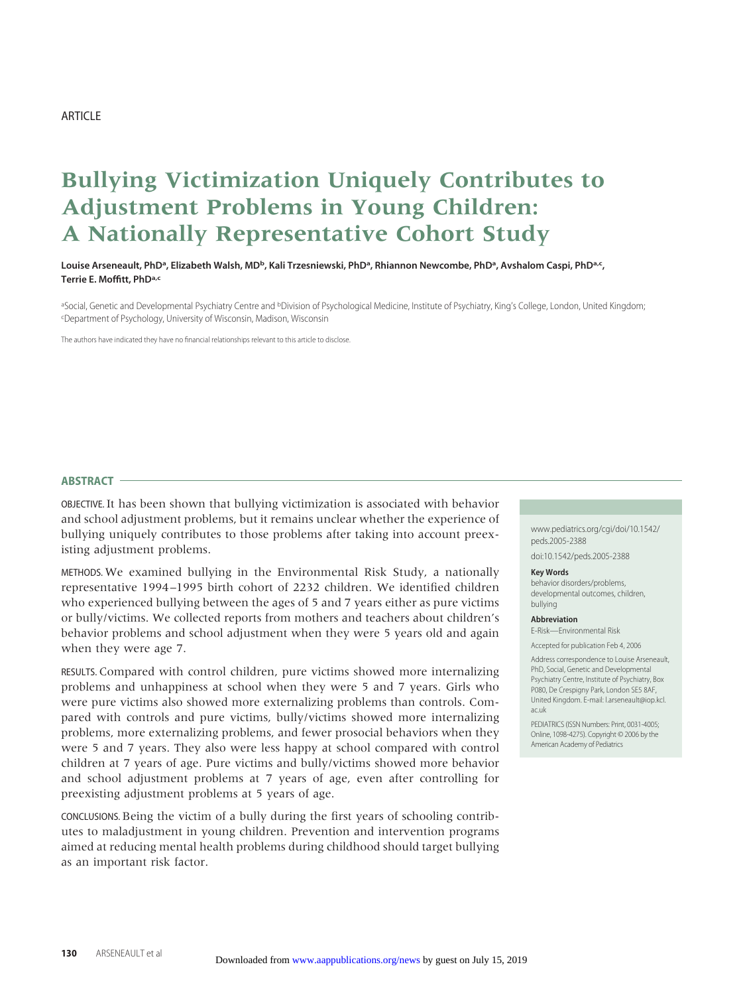# **Bullying Victimization Uniquely Contributes to Adjustment Problems in Young Children: A Nationally Representative Cohort Study**

Louise Arseneault, PhD<sup>a</sup>, Elizabeth Walsh, MD<sup>b</sup>, Kali Trzesniewski, PhD<sup>a</sup>, Rhiannon Newcombe, PhD<sup>a</sup>, Avshalom Caspi, PhD<sup>a,c</sup>, **Terrie E. Moffitt, PhDa,c**

<sup>a</sup>Social, Genetic and Developmental Psychiatry Centre and <sup>b</sup>Division of Psychological Medicine, Institute of Psychiatry, King's College, London, United Kingdom; c Department of Psychology, University of Wisconsin, Madison, Wisconsin

The authors have indicated they have no financial relationships relevant to this article to disclose.

#### **ABSTRACT**

OBJECTIVE. It has been shown that bullying victimization is associated with behavior and school adjustment problems, but it remains unclear whether the experience of bullying uniquely contributes to those problems after taking into account preexisting adjustment problems.

METHODS. We examined bullying in the Environmental Risk Study, a nationally representative 1994–1995 birth cohort of 2232 children. We identified children who experienced bullying between the ages of 5 and 7 years either as pure victims or bully/victims. We collected reports from mothers and teachers about children's behavior problems and school adjustment when they were 5 years old and again when they were age 7.

RESULTS. Compared with control children, pure victims showed more internalizing problems and unhappiness at school when they were 5 and 7 years. Girls who were pure victims also showed more externalizing problems than controls. Compared with controls and pure victims, bully/victims showed more internalizing problems, more externalizing problems, and fewer prosocial behaviors when they were 5 and 7 years. They also were less happy at school compared with control children at 7 years of age. Pure victims and bully/victims showed more behavior and school adjustment problems at 7 years of age, even after controlling for preexisting adjustment problems at 5 years of age.

CONCLUSIONS. Being the victim of a bully during the first years of schooling contributes to maladjustment in young children. Prevention and intervention programs aimed at reducing mental health problems during childhood should target bullying as an important risk factor.

www.pediatrics.org/cgi/doi/10.1542/ peds.2005-2388

doi:10.1542/peds.2005-2388

**Key Words**

behavior disorders/problems, developmental outcomes, children, bullying

#### **Abbreviation**

E-Risk—Environmental Risk

Accepted for publication Feb 4, 2006

Address correspondence to Louise Arseneault, PhD, Social, Genetic and Developmental Psychiatry Centre, Institute of Psychiatry, Box P080, De Crespigny Park, London SE5 8AF, United Kingdom. E-mail: l.arseneault@iop.kcl. ac.uk

PEDIATRICS (ISSN Numbers: Print, 0031-4005; Online, 1098-4275). Copyright © 2006 by the American Academy of Pediatrics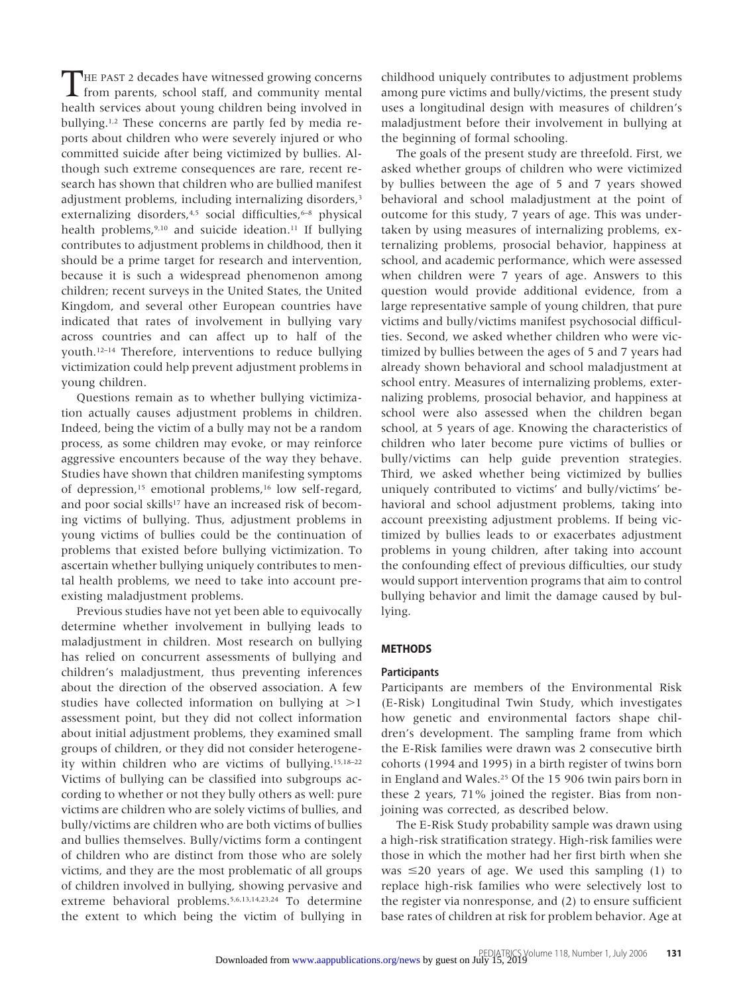THE PAST 2 decades have witnessed growing concerns from parents, school staff, and community mental health services about young children being involved in bullying.1,2 These concerns are partly fed by media reports about children who were severely injured or who committed suicide after being victimized by bullies. Although such extreme consequences are rare, recent research has shown that children who are bullied manifest adjustment problems, including internalizing disorders,<sup>3</sup> externalizing disorders, $4,5$  social difficulties, $6-8$  physical health problems,<sup>9,10</sup> and suicide ideation.<sup>11</sup> If bullying contributes to adjustment problems in childhood, then it should be a prime target for research and intervention, because it is such a widespread phenomenon among children; recent surveys in the United States, the United Kingdom, and several other European countries have indicated that rates of involvement in bullying vary across countries and can affect up to half of the youth.12–14 Therefore, interventions to reduce bullying victimization could help prevent adjustment problems in young children.

Questions remain as to whether bullying victimization actually causes adjustment problems in children. Indeed, being the victim of a bully may not be a random process, as some children may evoke, or may reinforce aggressive encounters because of the way they behave. Studies have shown that children manifesting symptoms of depression,15 emotional problems,16 low self-regard, and poor social skills<sup>17</sup> have an increased risk of becoming victims of bullying. Thus, adjustment problems in young victims of bullies could be the continuation of problems that existed before bullying victimization. To ascertain whether bullying uniquely contributes to mental health problems, we need to take into account preexisting maladjustment problems.

Previous studies have not yet been able to equivocally determine whether involvement in bullying leads to maladjustment in children. Most research on bullying has relied on concurrent assessments of bullying and children's maladjustment, thus preventing inferences about the direction of the observed association. A few studies have collected information on bullying at  $>1$ assessment point, but they did not collect information about initial adjustment problems, they examined small groups of children, or they did not consider heterogeneity within children who are victims of bullying.15,18–22 Victims of bullying can be classified into subgroups according to whether or not they bully others as well: pure victims are children who are solely victims of bullies, and bully/victims are children who are both victims of bullies and bullies themselves. Bully/victims form a contingent of children who are distinct from those who are solely victims, and they are the most problematic of all groups of children involved in bullying, showing pervasive and extreme behavioral problems.5,6,13,14,23,24 To determine the extent to which being the victim of bullying in

childhood uniquely contributes to adjustment problems among pure victims and bully/victims, the present study uses a longitudinal design with measures of children's maladjustment before their involvement in bullying at the beginning of formal schooling.

The goals of the present study are threefold. First, we asked whether groups of children who were victimized by bullies between the age of 5 and 7 years showed behavioral and school maladjustment at the point of outcome for this study, 7 years of age. This was undertaken by using measures of internalizing problems, externalizing problems, prosocial behavior, happiness at school, and academic performance, which were assessed when children were 7 years of age. Answers to this question would provide additional evidence, from a large representative sample of young children, that pure victims and bully/victims manifest psychosocial difficulties. Second, we asked whether children who were victimized by bullies between the ages of 5 and 7 years had already shown behavioral and school maladjustment at school entry. Measures of internalizing problems, externalizing problems, prosocial behavior, and happiness at school were also assessed when the children began school, at 5 years of age. Knowing the characteristics of children who later become pure victims of bullies or bully/victims can help guide prevention strategies. Third, we asked whether being victimized by bullies uniquely contributed to victims' and bully/victims' behavioral and school adjustment problems, taking into account preexisting adjustment problems. If being victimized by bullies leads to or exacerbates adjustment problems in young children, after taking into account the confounding effect of previous difficulties, our study would support intervention programs that aim to control bullying behavior and limit the damage caused by bullying.

# **METHODS**

# **Participants**

Participants are members of the Environmental Risk (E-Risk) Longitudinal Twin Study, which investigates how genetic and environmental factors shape children's development. The sampling frame from which the E-Risk families were drawn was 2 consecutive birth cohorts (1994 and 1995) in a birth register of twins born in England and Wales.25 Of the 15 906 twin pairs born in these 2 years, 71% joined the register. Bias from nonjoining was corrected, as described below.

The E-Risk Study probability sample was drawn using a high-risk stratification strategy. High-risk families were those in which the mother had her first birth when she was  $\leq 20$  years of age. We used this sampling (1) to replace high-risk families who were selectively lost to the register via nonresponse, and (2) to ensure sufficient base rates of children at risk for problem behavior. Age at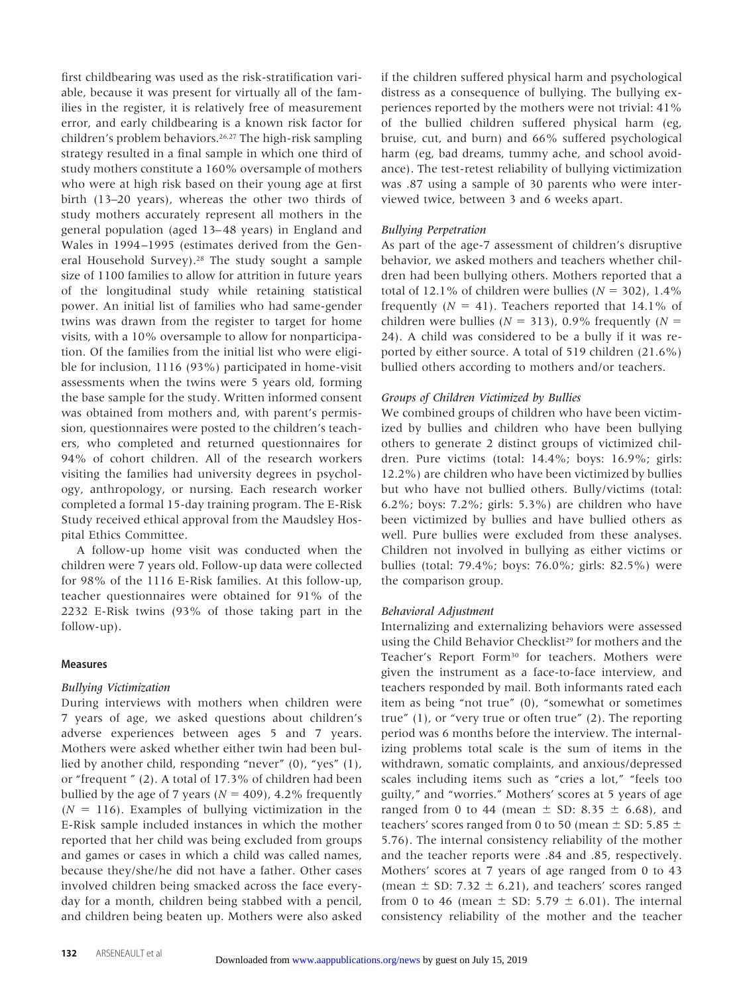first childbearing was used as the risk-stratification variable, because it was present for virtually all of the families in the register, it is relatively free of measurement error, and early childbearing is a known risk factor for children's problem behaviors.26,27 The high-risk sampling strategy resulted in a final sample in which one third of study mothers constitute a 160% oversample of mothers who were at high risk based on their young age at first birth (13–20 years), whereas the other two thirds of study mothers accurately represent all mothers in the general population (aged 13–48 years) in England and Wales in 1994–1995 (estimates derived from the General Household Survey).28 The study sought a sample size of 1100 families to allow for attrition in future years of the longitudinal study while retaining statistical power. An initial list of families who had same-gender twins was drawn from the register to target for home visits, with a 10% oversample to allow for nonparticipation. Of the families from the initial list who were eligible for inclusion, 1116 (93%) participated in home-visit assessments when the twins were 5 years old, forming the base sample for the study. Written informed consent was obtained from mothers and, with parent's permission, questionnaires were posted to the children's teachers, who completed and returned questionnaires for 94% of cohort children. All of the research workers visiting the families had university degrees in psychology, anthropology, or nursing. Each research worker completed a formal 15-day training program. The E-Risk Study received ethical approval from the Maudsley Hospital Ethics Committee.

A follow-up home visit was conducted when the children were 7 years old. Follow-up data were collected for 98% of the 1116 E-Risk families. At this follow-up, teacher questionnaires were obtained for 91% of the 2232 E-Risk twins (93% of those taking part in the follow-up).

# **Measures**

# *Bullying Victimization*

During interviews with mothers when children were 7 years of age, we asked questions about children's adverse experiences between ages 5 and 7 years. Mothers were asked whether either twin had been bullied by another child, responding "never" (0), "yes" (1), or "frequent " (2). A total of 17.3% of children had been bullied by the age of 7 years  $(N = 409)$ , 4.2% frequently  $(N = 116)$ . Examples of bullying victimization in the E-Risk sample included instances in which the mother reported that her child was being excluded from groups and games or cases in which a child was called names, because they/she/he did not have a father. Other cases involved children being smacked across the face everyday for a month, children being stabbed with a pencil, and children being beaten up. Mothers were also asked

if the children suffered physical harm and psychological distress as a consequence of bullying. The bullying experiences reported by the mothers were not trivial: 41% of the bullied children suffered physical harm (eg, bruise, cut, and burn) and 66% suffered psychological harm (eg, bad dreams, tummy ache, and school avoidance). The test-retest reliability of bullying victimization was .87 using a sample of 30 parents who were interviewed twice, between 3 and 6 weeks apart.

# *Bullying Perpetration*

As part of the age-7 assessment of children's disruptive behavior, we asked mothers and teachers whether children had been bullying others. Mothers reported that a total of 12.1% of children were bullies ( $N = 302$ ), 1.4% frequently  $(N = 41)$ . Teachers reported that 14.1% of children were bullies ( $N = 313$ ), 0.9% frequently ( $N =$ 24). A child was considered to be a bully if it was reported by either source. A total of 519 children (21.6%) bullied others according to mothers and/or teachers.

# *Groups of Children Victimized by Bullies*

We combined groups of children who have been victimized by bullies and children who have been bullying others to generate 2 distinct groups of victimized children. Pure victims (total: 14.4%; boys: 16.9%; girls: 12.2%) are children who have been victimized by bullies but who have not bullied others. Bully/victims (total: 6.2%; boys: 7.2%; girls: 5.3%) are children who have been victimized by bullies and have bullied others as well. Pure bullies were excluded from these analyses. Children not involved in bullying as either victims or bullies (total: 79.4%; boys: 76.0%; girls: 82.5%) were the comparison group.

#### *Behavioral Adjustment*

Internalizing and externalizing behaviors were assessed using the Child Behavior Checklist<sup>29</sup> for mothers and the Teacher's Report Form<sup>30</sup> for teachers. Mothers were given the instrument as a face-to-face interview, and teachers responded by mail. Both informants rated each item as being "not true" (0), "somewhat or sometimes true"  $(1)$ , or "very true or often true"  $(2)$ . The reporting period was 6 months before the interview. The internalizing problems total scale is the sum of items in the withdrawn, somatic complaints, and anxious/depressed scales including items such as "cries a lot," "feels too guilty," and "worries." Mothers' scores at 5 years of age ranged from 0 to 44 (mean  $\pm$  SD: 8.35  $\pm$  6.68), and teachers' scores ranged from 0 to 50 (mean  $\pm$  SD: 5.85  $\pm$ 5.76). The internal consistency reliability of the mother and the teacher reports were .84 and .85, respectively. Mothers' scores at 7 years of age ranged from 0 to 43 (mean  $\pm$  SD: 7.32  $\pm$  6.21), and teachers' scores ranged from 0 to 46 (mean  $\pm$  SD: 5.79  $\pm$  6.01). The internal consistency reliability of the mother and the teacher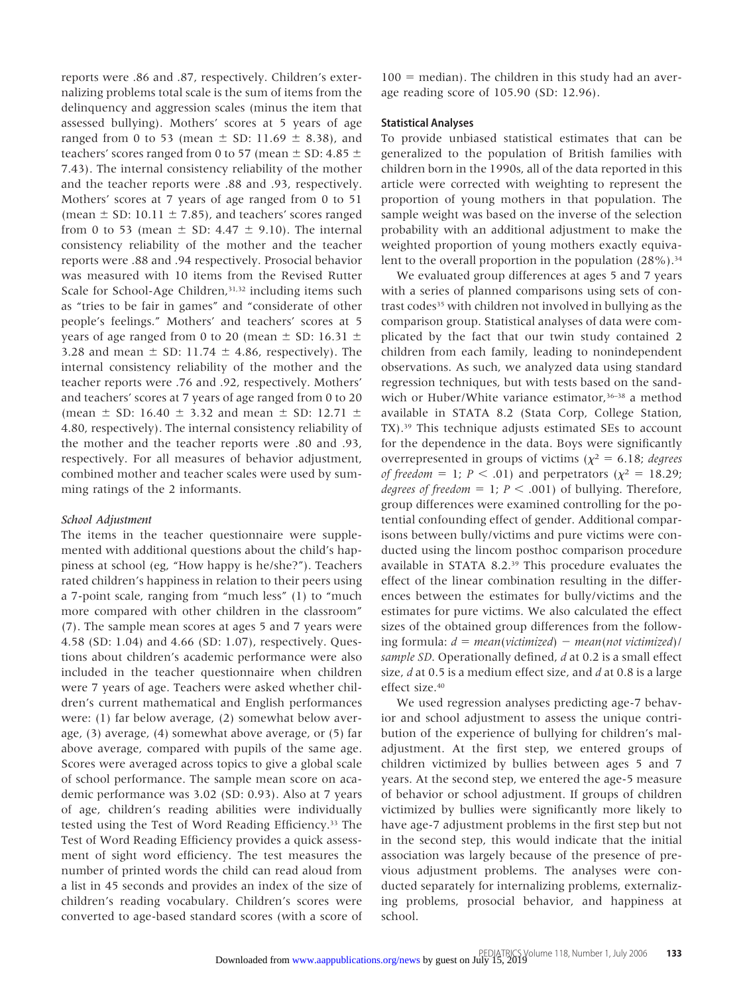reports were .86 and .87, respectively. Children's externalizing problems total scale is the sum of items from the delinquency and aggression scales (minus the item that assessed bullying). Mothers' scores at 5 years of age ranged from 0 to 53 (mean  $\pm$  SD: 11.69  $\pm$  8.38), and teachers' scores ranged from 0 to 57 (mean  $\pm$  SD: 4.85  $\pm$ 7.43). The internal consistency reliability of the mother and the teacher reports were .88 and .93, respectively. Mothers' scores at 7 years of age ranged from 0 to 51 (mean  $\pm$  SD: 10.11  $\pm$  7.85), and teachers' scores ranged from 0 to 53 (mean  $\pm$  SD: 4.47  $\pm$  9.10). The internal consistency reliability of the mother and the teacher reports were .88 and .94 respectively. Prosocial behavior was measured with 10 items from the Revised Rutter Scale for School-Age Children,<sup>31,32</sup> including items such as "tries to be fair in games" and "considerate of other people's feelings." Mothers' and teachers' scores at 5 years of age ranged from 0 to 20 (mean  $\pm$  SD: 16.31  $\pm$ 3.28 and mean  $\pm$  SD: 11.74  $\pm$  4.86, respectively). The internal consistency reliability of the mother and the teacher reports were .76 and .92, respectively. Mothers' and teachers' scores at 7 years of age ranged from 0 to 20 (mean  $\pm$  SD: 16.40  $\pm$  3.32 and mean  $\pm$  SD: 12.71  $\pm$ 4.80, respectively). The internal consistency reliability of the mother and the teacher reports were .80 and .93, respectively. For all measures of behavior adjustment, combined mother and teacher scales were used by summing ratings of the 2 informants.

# *School Adjustment*

The items in the teacher questionnaire were supplemented with additional questions about the child's happiness at school (eg, "How happy is he/she?"). Teachers rated children's happiness in relation to their peers using a 7-point scale, ranging from "much less" (1) to "much more compared with other children in the classroom" (7). The sample mean scores at ages 5 and 7 years were 4.58 (SD: 1.04) and 4.66 (SD: 1.07), respectively. Questions about children's academic performance were also included in the teacher questionnaire when children were 7 years of age. Teachers were asked whether children's current mathematical and English performances were: (1) far below average, (2) somewhat below average, (3) average, (4) somewhat above average, or (5) far above average, compared with pupils of the same age. Scores were averaged across topics to give a global scale of school performance. The sample mean score on academic performance was 3.02 (SD: 0.93). Also at 7 years of age, children's reading abilities were individually tested using the Test of Word Reading Efficiency.33 The Test of Word Reading Efficiency provides a quick assessment of sight word efficiency. The test measures the number of printed words the child can read aloud from a list in 45 seconds and provides an index of the size of children's reading vocabulary. Children's scores were converted to age-based standard scores (with a score of

 $100 =$  median). The children in this study had an average reading score of 105.90 (SD: 12.96).

# **Statistical Analyses**

To provide unbiased statistical estimates that can be generalized to the population of British families with children born in the 1990s, all of the data reported in this article were corrected with weighting to represent the proportion of young mothers in that population. The sample weight was based on the inverse of the selection probability with an additional adjustment to make the weighted proportion of young mothers exactly equivalent to the overall proportion in the population  $(28\%)$ .<sup>34</sup>

We evaluated group differences at ages 5 and 7 years with a series of planned comparisons using sets of contrast codes<sup>35</sup> with children not involved in bullying as the comparison group. Statistical analyses of data were complicated by the fact that our twin study contained 2 children from each family, leading to nonindependent observations. As such, we analyzed data using standard regression techniques, but with tests based on the sandwich or Huber/White variance estimator,<sup>36–38</sup> a method available in STATA 8.2 (Stata Corp, College Station, TX).39 This technique adjusts estimated SEs to account for the dependence in the data. Boys were significantly overrepresented in groups of victims ( $\chi^2 = 6.18$ ; *degrees of freedom* = 1; *P* < .01) and perpetrators ( $\chi^2$  = 18.29; *degrees of freedom* = 1;  $P < .001$ ) of bullying. Therefore, group differences were examined controlling for the potential confounding effect of gender. Additional comparisons between bully/victims and pure victims were conducted using the lincom posthoc comparison procedure available in STATA 8.2.39 This procedure evaluates the effect of the linear combination resulting in the differences between the estimates for bully/victims and the estimates for pure victims. We also calculated the effect sizes of the obtained group differences from the follow- $\frac{d}{dx}$  formula:  $d = mean(\text{victimized}) - mean(\text{not vitimized})$ *sample SD*. Operationally defined, *d* at 0.2 is a small effect size, *d* at 0.5 is a medium effect size, and *d* at 0.8 is a large effect size.40

We used regression analyses predicting age-7 behavior and school adjustment to assess the unique contribution of the experience of bullying for children's maladjustment. At the first step, we entered groups of children victimized by bullies between ages 5 and 7 years. At the second step, we entered the age-5 measure of behavior or school adjustment. If groups of children victimized by bullies were significantly more likely to have age-7 adjustment problems in the first step but not in the second step, this would indicate that the initial association was largely because of the presence of previous adjustment problems. The analyses were conducted separately for internalizing problems, externalizing problems, prosocial behavior, and happiness at school.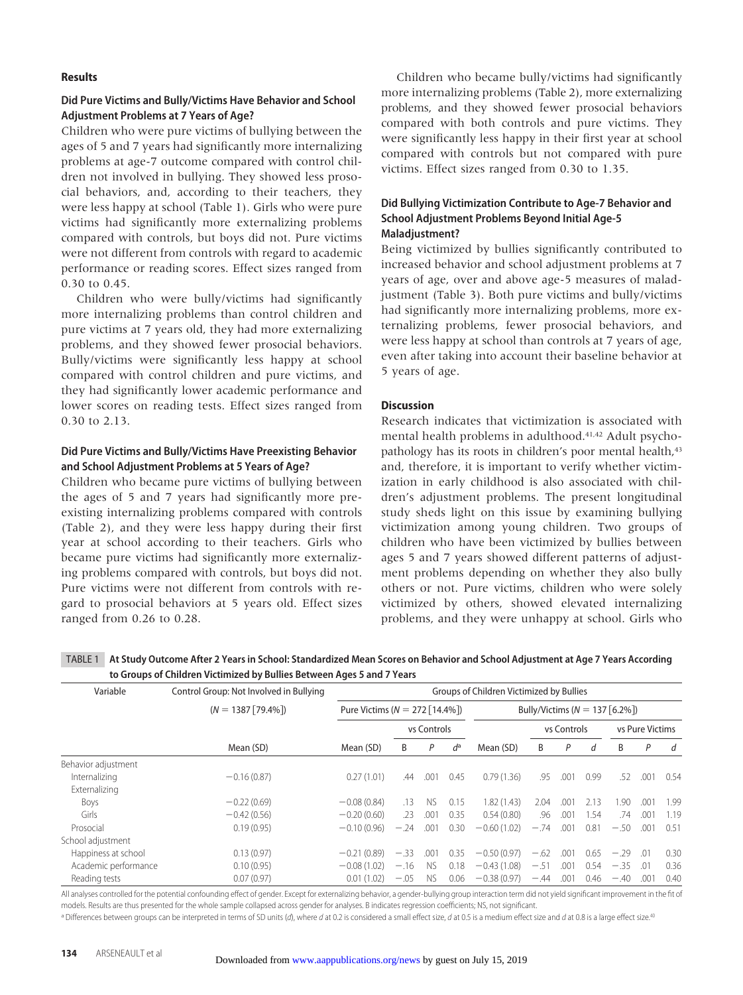# **Results**

# **Did Pure Victims and Bully/Victims Have Behavior and School Adjustment Problems at 7 Years of Age?**

Children who were pure victims of bullying between the ages of 5 and 7 years had significantly more internalizing problems at age-7 outcome compared with control children not involved in bullying. They showed less prosocial behaviors, and, according to their teachers, they were less happy at school (Table 1). Girls who were pure victims had significantly more externalizing problems compared with controls, but boys did not. Pure victims were not different from controls with regard to academic performance or reading scores. Effect sizes ranged from 0.30 to 0.45.

Children who were bully/victims had significantly more internalizing problems than control children and pure victims at 7 years old, they had more externalizing problems, and they showed fewer prosocial behaviors. Bully/victims were significantly less happy at school compared with control children and pure victims, and they had significantly lower academic performance and lower scores on reading tests. Effect sizes ranged from 0.30 to 2.13.

# **Did Pure Victims and Bully/Victims Have Preexisting Behavior and School Adjustment Problems at 5 Years of Age?**

Children who became pure victims of bullying between the ages of 5 and 7 years had significantly more preexisting internalizing problems compared with controls (Table 2), and they were less happy during their first year at school according to their teachers. Girls who became pure victims had significantly more externalizing problems compared with controls, but boys did not. Pure victims were not different from controls with regard to prosocial behaviors at 5 years old. Effect sizes ranged from 0.26 to 0.28.

Children who became bully/victims had significantly more internalizing problems (Table 2), more externalizing problems, and they showed fewer prosocial behaviors compared with both controls and pure victims. They were significantly less happy in their first year at school compared with controls but not compared with pure victims. Effect sizes ranged from 0.30 to 1.35.

# **Did Bullying Victimization Contribute to Age-7 Behavior and School Adjustment Problems Beyond Initial Age-5 Maladjustment?**

Being victimized by bullies significantly contributed to increased behavior and school adjustment problems at 7 years of age, over and above age-5 measures of maladjustment (Table 3). Both pure victims and bully/victims had significantly more internalizing problems, more externalizing problems, fewer prosocial behaviors, and were less happy at school than controls at 7 years of age, even after taking into account their baseline behavior at 5 years of age.

# **Discussion**

Research indicates that victimization is associated with mental health problems in adulthood.41,42 Adult psychopathology has its roots in children's poor mental health,<sup>43</sup> and, therefore, it is important to verify whether victimization in early childhood is also associated with children's adjustment problems. The present longitudinal study sheds light on this issue by examining bullying victimization among young children. Two groups of children who have been victimized by bullies between ages 5 and 7 years showed different patterns of adjustment problems depending on whether they also bully others or not. Pure victims, children who were solely victimized by others, showed elevated internalizing problems, and they were unhappy at school. Girls who

| TABLE 1 At Study Outcome After 2 Years in School: Standardized Mean Scores on Behavior and School Adjustment at Age 7 Years According |
|---------------------------------------------------------------------------------------------------------------------------------------|
| to Groups of Children Victimized by Bullies Between Ages 5 and 7 Years                                                                |

| Variable             | Control Group: Not Involved in Bullying | Groups of Children Victimized by Bullies |             |           |                                   |               |        |      |                 |        |                  |      |
|----------------------|-----------------------------------------|------------------------------------------|-------------|-----------|-----------------------------------|---------------|--------|------|-----------------|--------|------------------|------|
|                      | $(N = 1387 [79.4\%])$                   | Pure Victims ( $N = 272$ [14.4%])        |             |           | Bully/Victims ( $N = 137$ [6.2%]) |               |        |      |                 |        |                  |      |
|                      |                                         |                                          | vs Controls |           |                                   | vs Controls   |        |      | vs Pure Victims |        |                  |      |
|                      | Mean (SD)                               | Mean (SD)                                | B           | P         | $d^a$                             | Mean (SD)     | B      | P    | d               | B      | P                | d    |
| Behavior adjustment  |                                         |                                          |             |           |                                   |               |        |      |                 |        |                  |      |
| Internalizing        | $-0.16(0.87)$                           | 0.27(1.01)                               | .44         | .001      | 0.45                              | 0.79(1.36)    | .95    | .001 | 0.99            | .52    | .00 <sup>°</sup> | 0.54 |
| Externalizing        |                                         |                                          |             |           |                                   |               |        |      |                 |        |                  |      |
| Boys                 | $-0.22(0.69)$                           | $-0.08(0.84)$                            | .13         | <b>NS</b> | 0.15                              | 1.82(1.43)    | 2.04   | .001 | 2.13            | 1.90   | .00              | 1.99 |
| Girls                | $-0.42(0.56)$                           | $-0.20(0.60)$                            | .23         | .001      | 0.35                              | 0.54(0.80)    | .96    | .001 | 1.54            | .74    | .00              | 1.19 |
| Prosocial            | 0.19(0.95)                              | $-0.10(0.96)$                            | $-.24$      | .001      | 0.30                              | $-0.60(1.02)$ | $-.74$ | .001 | 0.81            | $-.50$ | .00              | 0.51 |
| School adjustment    |                                         |                                          |             |           |                                   |               |        |      |                 |        |                  |      |
| Happiness at school  | 0.13(0.97)                              | $-0.21(0.89)$                            | $-.33$      | .001      | 0.35                              | $-0.50(0.97)$ | $-.62$ | .001 | 0.65            | $-.29$ | .01              | 0.30 |
| Academic performance | 0.10(0.95)                              | $-0.08(1.02)$                            | $-.16$      | <b>NS</b> | 0.18                              | $-0.43(1.08)$ | $-.51$ | .001 | 0.54            | $-.35$ | .01              | 0.36 |
| Reading tests        | 0.07(0.97)                              | 0.01(1.02)                               | $-.05$      | <b>NS</b> | 0.06                              | $-0.38(0.97)$ | $-.44$ | .001 | 0.46            | $-.40$ | .00 <sup>°</sup> | 0.40 |

All analyses controlled for the potential confounding effect of gender. Except for externalizing behavior, a gender-bullying group interaction term did not yield significant improvement in the fit of models. Results are thus presented for the whole sample collapsed across gender for analyses. B indicates regression coefficients; NS, not significant.

<sup>a</sup> Differences between groups can be interpreted in terms of SD units (d), where d at 0.2 is considered a small effect size, d at 0.5 is a medium effect size and d at 0.8 is a large effect size.<sup>40</sup>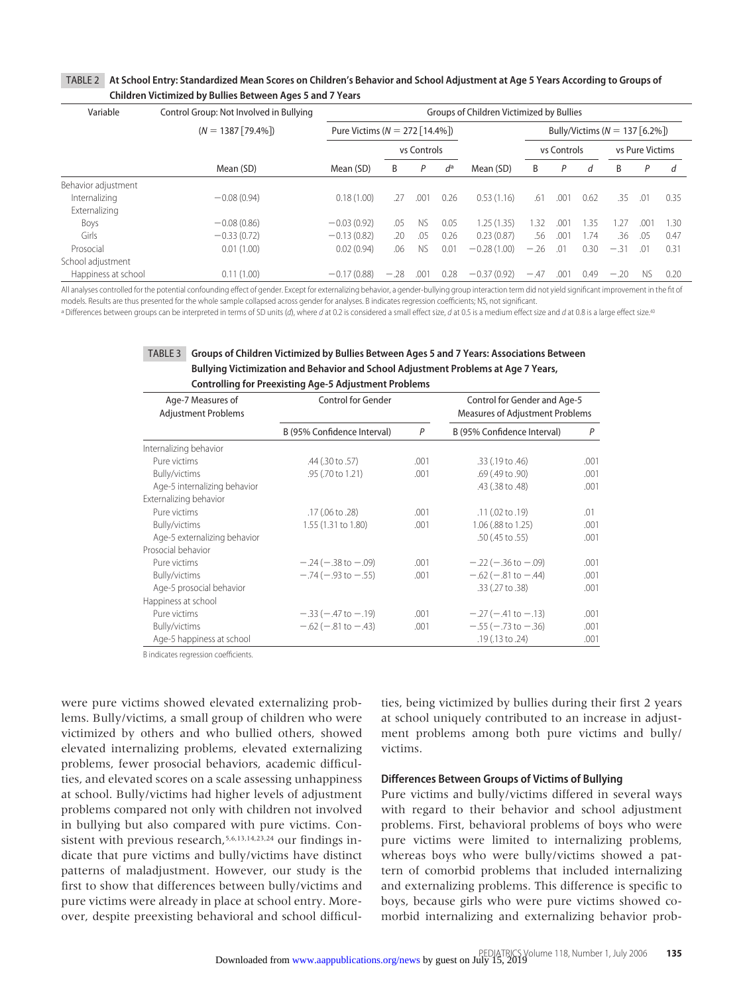# TABLE 2 **At School Entry: Standardized Mean Scores on Children's Behavior and School Adjustment at Age 5 Years According to Groups of Children Victimized by Bullies Between Ages 5 and 7 Years**

| Variable            | Control Group: Not Involved in Bullying |                                   | Groups of Children Victimized by Bullies |             |       |               |                                   |                  |      |        |                  |      |
|---------------------|-----------------------------------------|-----------------------------------|------------------------------------------|-------------|-------|---------------|-----------------------------------|------------------|------|--------|------------------|------|
|                     | $(N = 1387 [79.4\%])$                   | Pure Victims ( $N = 272$ [14.4%]) |                                          |             |       |               | Bully/Victims ( $N = 137$ [6.2%]) |                  |      |        |                  |      |
|                     |                                         |                                   |                                          | vs Controls |       |               |                                   | vs Controls      |      |        | vs Pure Victims  |      |
|                     | Mean (SD)                               | Mean (SD)                         | B                                        | P           | $d^a$ | Mean (SD)     | B                                 | P                | d    | B      | P                | d    |
| Behavior adjustment |                                         |                                   |                                          |             |       |               |                                   |                  |      |        |                  |      |
| Internalizing       | $-0.08(0.94)$                           | 0.18(1.00)                        | .27                                      | .001        | 0.26  | 0.53(1.16)    | .61                               | .001             | 0.62 | .35    | .01              | 0.35 |
| Externalizing       |                                         |                                   |                                          |             |       |               |                                   |                  |      |        |                  |      |
| Boys                | $-0.08(0.86)$                           | $-0.03(0.92)$                     | .05                                      | <b>NS</b>   | 0.05  | 1.25 (1.35)   | .32                               | .00 <sup>1</sup> | 1.35 | 27     | .00 <sup>1</sup> | 1.30 |
| Girls               | $-0.33(0.72)$                           | $-0.13(0.82)$                     | .20                                      | .05         | 0.26  | 0.23(0.87)    | .56                               | .00 <sup>°</sup> | 1.74 | .36    | .05              | 0.47 |
| Prosocial           | 0.01(1.00)                              | 0.02(0.94)                        | .06                                      | <b>NS</b>   | 0.01  | $-0.28(1.00)$ | $-.26$                            | .01              | 0.30 | $-.31$ | .01              | 0.31 |
| School adjustment   |                                         |                                   |                                          |             |       |               |                                   |                  |      |        |                  |      |
| Happiness at school | 0.11(1.00)                              | $-0.17(0.88)$                     | $-.28$                                   | .001        | 0.28  | $-0.37(0.92)$ | $-.47$                            | .001             | 0.49 | $-.20$ | .NS              | 0.20 |

All analyses controlled for the potential confounding effect of gender. Except for externalizing behavior, a gender-bullying group interaction term did not yield significant improvement in the fit of models. Results are thus presented for the whole sample collapsed across gender for analyses. B indicates regression coefficients; NS, not significant.

<sup>a</sup> Differences between groups can be interpreted in terms of SD units (d), where d at 0.2 is considered a small effect size, d at 0.5 is a medium effect size and d at 0.8 is a large effect size.<sup>40</sup>

# TABLE 3 **Groups of Children Victimized by Bullies Between Ages 5 and 7 Years: Associations Between Bullying Victimization and Behavior and School Adjustment Problems at Age 7 Years, Controlling for Preexisting Age-5 Adjustment Problems**

| Age-7 Measures of<br><b>Adjustment Problems</b> | <b>Control for Gender</b>        | Control for Gender and Age-5<br><b>Measures of Adjustment Problems</b> |                               |      |  |
|-------------------------------------------------|----------------------------------|------------------------------------------------------------------------|-------------------------------|------|--|
|                                                 | B (95% Confidence Interval)<br>P |                                                                        | B (95% Confidence Interval)   | P    |  |
| Internalizing behavior                          |                                  |                                                                        |                               |      |  |
| Pure victims                                    | .44 (.30 to .57)                 | .001                                                                   | .33 (.19 to .46)              | .001 |  |
| Bully/victims                                   | .95 (.70 to 1.21)                | .001                                                                   | .69 (.49 to .90)              | .001 |  |
| Age-5 internalizing behavior                    |                                  |                                                                        | .43 (.38 to .48)              | .001 |  |
| Externalizing behavior                          |                                  |                                                                        |                               |      |  |
| Pure victims                                    | $.17(.06 \text{ to } .28)$       | .001                                                                   | $.11$ (.02 to .19)            | .01  |  |
| Bully/victims                                   | 1.55 (1.31 to 1.80)              | .001                                                                   | 1.06 (.88 to 1.25)            | .001 |  |
| Age-5 externalizing behavior                    |                                  |                                                                        | .50 (.45 to .55)              | .001 |  |
| Prosocial behavior                              |                                  |                                                                        |                               |      |  |
| Pure victims                                    | $-.24 (-.38 to -.09)$            | .001                                                                   | $-.22(-.36 \text{ to } -.09)$ | .001 |  |
| Bully/victims                                   | $-.74(-.93 \text{ to } -0.55)$   | .001                                                                   | $-.62 (-.81 to -.44)$         | .001 |  |
| Age-5 prosocial behavior                        |                                  |                                                                        | .33 (.27 to .38)              | .001 |  |
| Happiness at school                             |                                  |                                                                        |                               |      |  |
| Pure victims                                    | $-.33(-.47 \text{ to } -.19)$    | .001                                                                   | $-.27(-.41 \text{ to } -.13)$ | .001 |  |
| Bully/victims                                   | $-.62(-.81 to -.43)$             | .001                                                                   | $-.55(-.73 \text{ to } -.36)$ | .001 |  |
| Age-5 happiness at school                       |                                  |                                                                        | $.19(.13 \text{ to } .24)$    | .001 |  |

B indicates regression coefficients.

were pure victims showed elevated externalizing problems. Bully/victims, a small group of children who were victimized by others and who bullied others, showed elevated internalizing problems, elevated externalizing problems, fewer prosocial behaviors, academic difficulties, and elevated scores on a scale assessing unhappiness at school. Bully/victims had higher levels of adjustment problems compared not only with children not involved in bullying but also compared with pure victims. Consistent with previous research, 5,6,13,14,23,24 our findings indicate that pure victims and bully/victims have distinct patterns of maladjustment. However, our study is the first to show that differences between bully/victims and pure victims were already in place at school entry. Moreover, despite preexisting behavioral and school difficulties, being victimized by bullies during their first 2 years at school uniquely contributed to an increase in adjustment problems among both pure victims and bully/ victims.

#### **Differences Between Groups of Victims of Bullying**

Pure victims and bully/victims differed in several ways with regard to their behavior and school adjustment problems. First, behavioral problems of boys who were pure victims were limited to internalizing problems, whereas boys who were bully/victims showed a pattern of comorbid problems that included internalizing and externalizing problems. This difference is specific to boys, because girls who were pure victims showed comorbid internalizing and externalizing behavior prob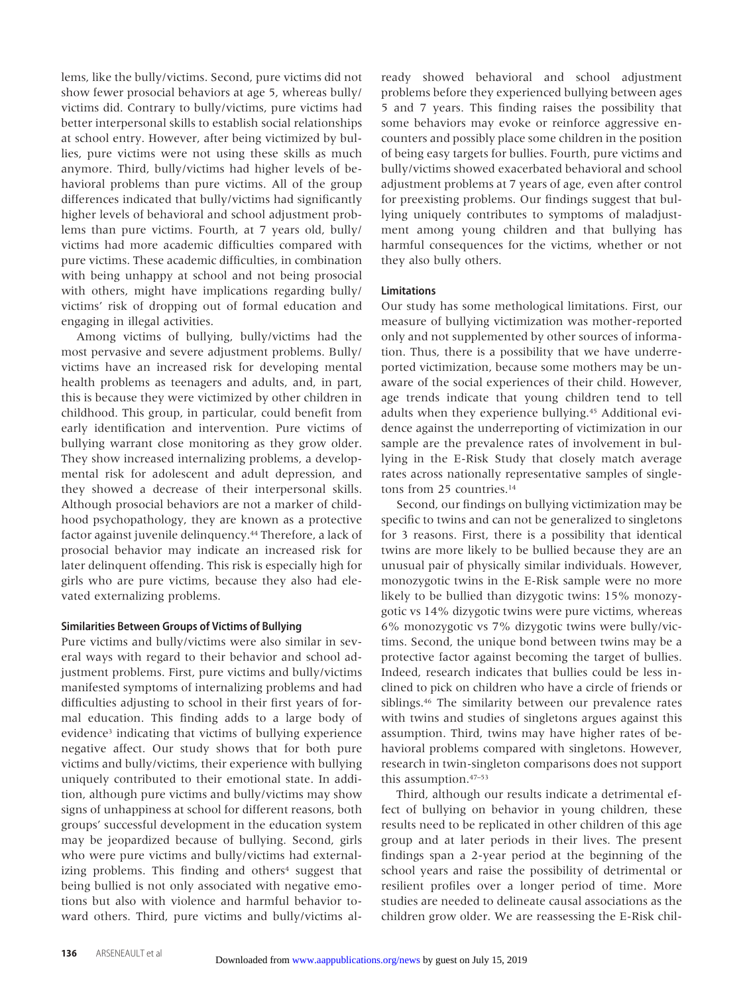lems, like the bully/victims. Second, pure victims did not show fewer prosocial behaviors at age 5, whereas bully/ victims did. Contrary to bully/victims, pure victims had better interpersonal skills to establish social relationships at school entry. However, after being victimized by bullies, pure victims were not using these skills as much anymore. Third, bully/victims had higher levels of behavioral problems than pure victims. All of the group differences indicated that bully/victims had significantly higher levels of behavioral and school adjustment problems than pure victims. Fourth, at 7 years old, bully/ victims had more academic difficulties compared with pure victims. These academic difficulties, in combination with being unhappy at school and not being prosocial with others, might have implications regarding bully/ victims' risk of dropping out of formal education and engaging in illegal activities.

Among victims of bullying, bully/victims had the most pervasive and severe adjustment problems. Bully/ victims have an increased risk for developing mental health problems as teenagers and adults, and, in part, this is because they were victimized by other children in childhood. This group, in particular, could benefit from early identification and intervention. Pure victims of bullying warrant close monitoring as they grow older. They show increased internalizing problems, a developmental risk for adolescent and adult depression, and they showed a decrease of their interpersonal skills. Although prosocial behaviors are not a marker of childhood psychopathology, they are known as a protective factor against juvenile delinquency.44 Therefore, a lack of prosocial behavior may indicate an increased risk for later delinquent offending. This risk is especially high for girls who are pure victims, because they also had elevated externalizing problems.

# **Similarities Between Groups of Victims of Bullying**

Pure victims and bully/victims were also similar in several ways with regard to their behavior and school adjustment problems. First, pure victims and bully/victims manifested symptoms of internalizing problems and had difficulties adjusting to school in their first years of formal education. This finding adds to a large body of evidence<sup>3</sup> indicating that victims of bullying experience negative affect. Our study shows that for both pure victims and bully/victims, their experience with bullying uniquely contributed to their emotional state. In addition, although pure victims and bully/victims may show signs of unhappiness at school for different reasons, both groups' successful development in the education system may be jeopardized because of bullying. Second, girls who were pure victims and bully/victims had externalizing problems. This finding and others<sup>4</sup> suggest that being bullied is not only associated with negative emotions but also with violence and harmful behavior toward others. Third, pure victims and bully/victims already showed behavioral and school adjustment problems before they experienced bullying between ages 5 and 7 years. This finding raises the possibility that some behaviors may evoke or reinforce aggressive encounters and possibly place some children in the position of being easy targets for bullies. Fourth, pure victims and bully/victims showed exacerbated behavioral and school adjustment problems at 7 years of age, even after control for preexisting problems. Our findings suggest that bullying uniquely contributes to symptoms of maladjustment among young children and that bullying has harmful consequences for the victims, whether or not they also bully others.

# **Limitations**

Our study has some methological limitations. First, our measure of bullying victimization was mother-reported only and not supplemented by other sources of information. Thus, there is a possibility that we have underreported victimization, because some mothers may be unaware of the social experiences of their child. However, age trends indicate that young children tend to tell adults when they experience bullying.45 Additional evidence against the underreporting of victimization in our sample are the prevalence rates of involvement in bullying in the E-Risk Study that closely match average rates across nationally representative samples of singletons from 25 countries.<sup>14</sup>

Second, our findings on bullying victimization may be specific to twins and can not be generalized to singletons for 3 reasons. First, there is a possibility that identical twins are more likely to be bullied because they are an unusual pair of physically similar individuals. However, monozygotic twins in the E-Risk sample were no more likely to be bullied than dizygotic twins: 15% monozygotic vs 14% dizygotic twins were pure victims, whereas 6% monozygotic vs 7% dizygotic twins were bully/victims. Second, the unique bond between twins may be a protective factor against becoming the target of bullies. Indeed, research indicates that bullies could be less inclined to pick on children who have a circle of friends or siblings.46 The similarity between our prevalence rates with twins and studies of singletons argues against this assumption. Third, twins may have higher rates of behavioral problems compared with singletons. However, research in twin-singleton comparisons does not support this assumption.47–53

Third, although our results indicate a detrimental effect of bullying on behavior in young children, these results need to be replicated in other children of this age group and at later periods in their lives. The present findings span a 2-year period at the beginning of the school years and raise the possibility of detrimental or resilient profiles over a longer period of time. More studies are needed to delineate causal associations as the children grow older. We are reassessing the E-Risk chil-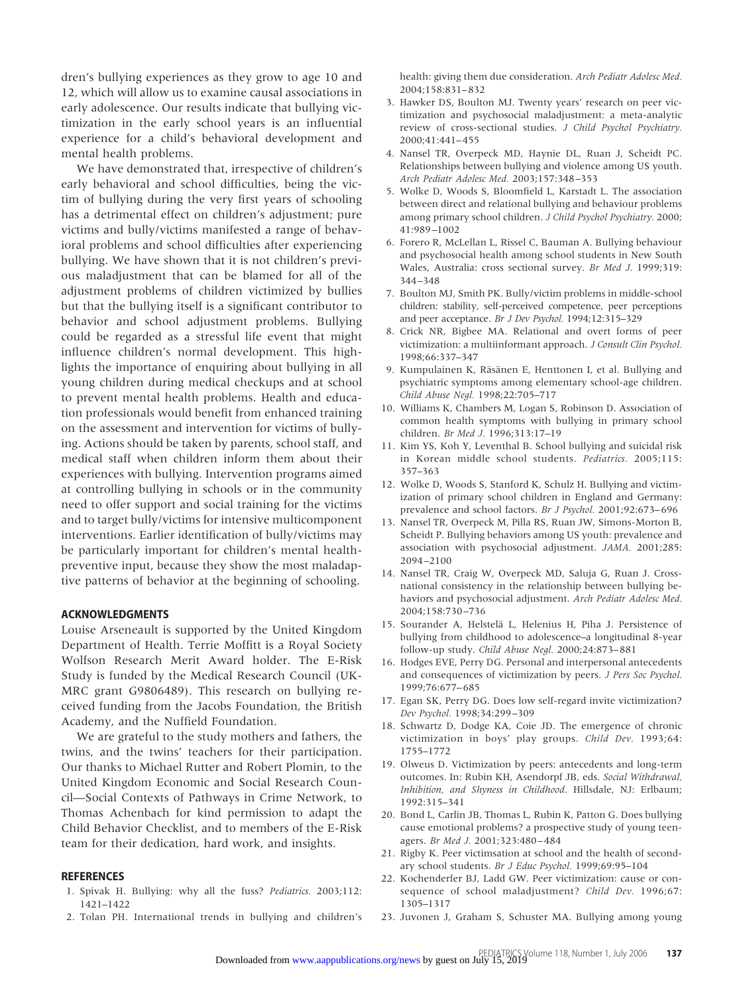dren's bullying experiences as they grow to age 10 and 12, which will allow us to examine causal associations in early adolescence. Our results indicate that bullying victimization in the early school years is an influential experience for a child's behavioral development and mental health problems.

We have demonstrated that, irrespective of children's early behavioral and school difficulties, being the victim of bullying during the very first years of schooling has a detrimental effect on children's adjustment; pure victims and bully/victims manifested a range of behavioral problems and school difficulties after experiencing bullying. We have shown that it is not children's previous maladjustment that can be blamed for all of the adjustment problems of children victimized by bullies but that the bullying itself is a significant contributor to behavior and school adjustment problems. Bullying could be regarded as a stressful life event that might influence children's normal development. This highlights the importance of enquiring about bullying in all young children during medical checkups and at school to prevent mental health problems. Health and education professionals would benefit from enhanced training on the assessment and intervention for victims of bullying. Actions should be taken by parents, school staff, and medical staff when children inform them about their experiences with bullying. Intervention programs aimed at controlling bullying in schools or in the community need to offer support and social training for the victims and to target bully/victims for intensive multicomponent interventions. Earlier identification of bully/victims may be particularly important for children's mental healthpreventive input, because they show the most maladaptive patterns of behavior at the beginning of schooling.

### **ACKNOWLEDGMENTS**

Louise Arseneault is supported by the United Kingdom Department of Health. Terrie Moffitt is a Royal Society Wolfson Research Merit Award holder. The E-Risk Study is funded by the Medical Research Council (UK-MRC grant G9806489). This research on bullying received funding from the Jacobs Foundation, the British Academy, and the Nuffield Foundation.

We are grateful to the study mothers and fathers, the twins, and the twins' teachers for their participation. Our thanks to Michael Rutter and Robert Plomin, to the United Kingdom Economic and Social Research Council—Social Contexts of Pathways in Crime Network, to Thomas Achenbach for kind permission to adapt the Child Behavior Checklist, and to members of the E-Risk team for their dedication, hard work, and insights.

#### **REFERENCES**

- 1. Spivak H. Bullying: why all the fuss? *Pediatrics.* 2003;112: 1421–1422
- 2. Tolan PH. International trends in bullying and children's

health: giving them due consideration. *Arch Pediatr Adolesc Med.* 2004;158:831–832

- 3. Hawker DS, Boulton MJ. Twenty years' research on peer victimization and psychosocial maladjustment: a meta-analytic review of cross-sectional studies. *J Child Psychol Psychiatry.* 2000;41:441–455
- 4. Nansel TR, Overpeck MD, Haynie DL, Ruan J, Scheidt PC. Relationships between bullying and violence among US youth. *Arch Pediatr Adolesc Med.* 2003;157:348–353
- 5. Wolke D, Woods S, Bloomfield L, Karstadt L. The association between direct and relational bullying and behaviour problems among primary school children. *J Child Psychol Psychiatry.* 2000; 41:989–1002
- 6. Forero R, McLellan L, Rissel C, Bauman A. Bullying behaviour and psychosocial health among school students in New South Wales, Australia: cross sectional survey. *Br Med J.* 1999;319: 344–348
- 7. Boulton MJ, Smith PK. Bully/victim problems in middle-school children: stability, self-perceived competence, peer perceptions and peer acceptance. *Br J Dev Psychol.* 1994;12:315–329
- 8. Crick NR, Bigbee MA. Relational and overt forms of peer victimization: a multiinformant approach. *J Consult Clin Psychol.* 1998;66:337–347
- 9. Kumpulainen K, Räsänen E, Henttonen I, et al. Bullying and psychiatric symptoms among elementary school-age children. *Child Abuse Negl.* 1998;22:705–717
- 10. Williams K, Chambers M, Logan S, Robinson D. Association of common health symptoms with bullying in primary school children. *Br Med J.* 1996;313:17–19
- 11. Kim YS, Koh Y, Leventhal B. School bullying and suicidal risk in Korean middle school students. *Pediatrics.* 2005;115: 357–363
- 12. Wolke D, Woods S, Stanford K, Schulz H. Bullying and victimization of primary school children in England and Germany: prevalence and school factors. *Br J Psychol.* 2001;92:673–696
- 13. Nansel TR, Overpeck M, Pilla RS, Ruan JW, Simons-Morton B, Scheidt P. Bullying behaviors among US youth: prevalence and association with psychosocial adjustment. *JAMA.* 2001;285: 2094–2100
- 14. Nansel TR, Craig W, Overpeck MD, Saluja G, Ruan J. Crossnational consistency in the relationship between bullying behaviors and psychosocial adjustment. *Arch Pediatr Adolesc Med.* 2004;158:730–736
- 15. Sourander A, Helstelä L, Helenius H, Piha J. Persistence of bullying from childhood to adolescence–a longitudinal 8-year follow-up study. *Child Abuse Negl.* 2000;24:873–881
- 16. Hodges EVE, Perry DG. Personal and interpersonal antecedents and consequences of victimization by peers. *J Pers Soc Psychol.* 1999;76:677–685
- 17. Egan SK, Perry DG. Does low self-regard invite victimization? *Dev Psychol.* 1998;34:299–309
- 18. Schwartz D, Dodge KA, Coie JD. The emergence of chronic victimization in boys' play groups. *Child Dev.* 1993;64: 1755–1772
- 19. Olweus D. Victimization by peers: antecedents and long-term outcomes. In: Rubin KH, Asendorpf JB, eds. *Social Withdrawal, Inhibition, and Shyness in Childhood*. Hillsdale, NJ: Erlbaum; 1992:315–341
- 20. Bond L, Carlin JB, Thomas L, Rubin K, Patton G. Does bullying cause emotional problems? a prospective study of young teenagers. *Br Med J.* 2001;323:480–484
- 21. Rigby K. Peer victimsation at school and the health of secondary school students. *Br J Educ Psychol.* 1999;69:95–104
- 22. Kochenderfer BJ, Ladd GW. Peer victimization: cause or consequence of school maladjustment? *Child Dev.* 1996;67: 1305–1317
- 23. Juvonen J, Graham S, Schuster MA. Bullying among young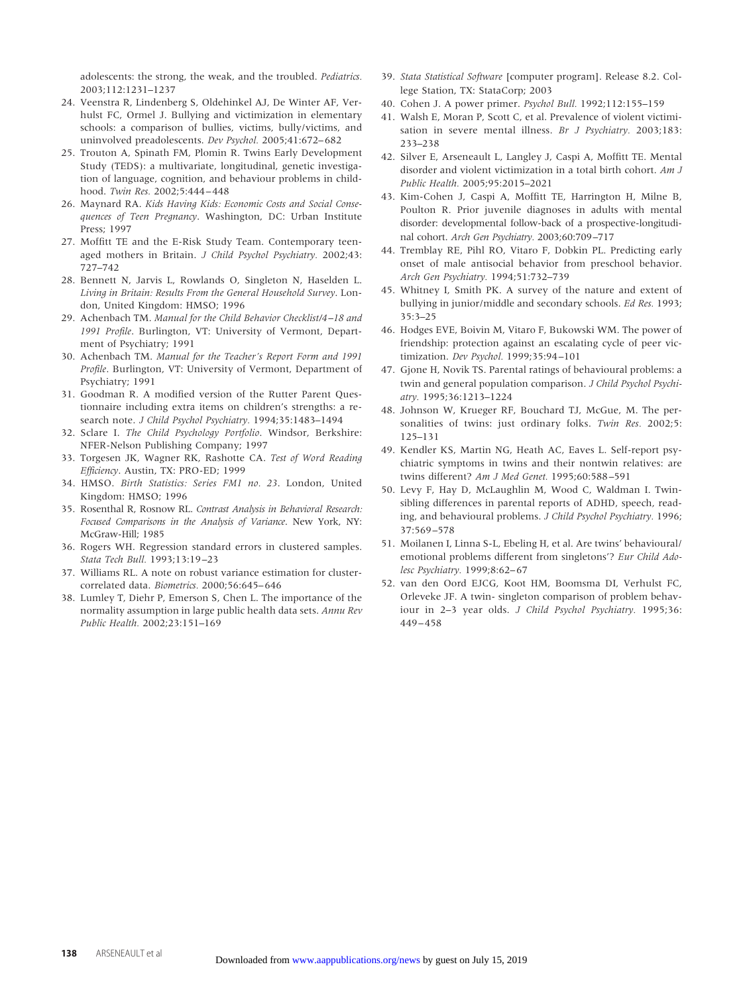adolescents: the strong, the weak, and the troubled. *Pediatrics.* 2003;112:1231–1237

- 24. Veenstra R, Lindenberg S, Oldehinkel AJ, De Winter AF, Verhulst FC, Ormel J. Bullying and victimization in elementary schools: a comparison of bullies, victims, bully/victims, and uninvolved preadolescents. *Dev Psychol.* 2005;41:672–682
- 25. Trouton A, Spinath FM, Plomin R. Twins Early Development Study (TEDS): a multivariate, longitudinal, genetic investigation of language, cognition, and behaviour problems in childhood. *Twin Res.* 2002;5:444–448
- 26. Maynard RA. *Kids Having Kids: Economic Costs and Social Consequences of Teen Pregnancy*. Washington, DC: Urban Institute Press; 1997
- 27. Moffitt TE and the E-Risk Study Team. Contemporary teenaged mothers in Britain. *J Child Psychol Psychiatry.* 2002;43: 727–742
- 28. Bennett N, Jarvis L, Rowlands O, Singleton N, Haselden L. *Living in Britain: Results From the General Household Survey*. London, United Kingdom: HMSO; 1996
- 29. Achenbach TM. *Manual for the Child Behavior Checklist/4–18 and 1991 Profile*. Burlington, VT: University of Vermont, Department of Psychiatry; 1991
- 30. Achenbach TM. *Manual for the Teacher's Report Form and 1991 Profile*. Burlington, VT: University of Vermont, Department of Psychiatry; 1991
- 31. Goodman R. A modified version of the Rutter Parent Questionnaire including extra items on children's strengths: a research note. *J Child Psychol Psychiatry.* 1994;35:1483–1494
- 32. Sclare I. *The Child Psychology Portfolio*. Windsor, Berkshire: NFER-Nelson Publishing Company; 1997
- 33. Torgesen JK, Wagner RK, Rashotte CA. *Test of Word Reading Efficiency*. Austin, TX: PRO-ED; 1999
- 34. HMSO. *Birth Statistics: Series FM1 no. 23*. London, United Kingdom: HMSO; 1996
- 35. Rosenthal R, Rosnow RL. *Contrast Analysis in Behavioral Research: Focused Comparisons in the Analysis of Variance*. New York, NY: McGraw-Hill; 1985
- 36. Rogers WH. Regression standard errors in clustered samples. *Stata Tech Bull.* 1993;13:19–23
- 37. Williams RL. A note on robust variance estimation for clustercorrelated data. *Biometrics.* 2000;56:645–646
- 38. Lumley T, Diehr P, Emerson S, Chen L. The importance of the normality assumption in large public health data sets. *Annu Rev Public Health.* 2002;23:151–169
- 39. *Stata Statistical Software* [computer program]. Release 8.2. College Station, TX: StataCorp; 2003
- 40. Cohen J. A power primer. *Psychol Bull.* 1992;112:155–159
- 41. Walsh E, Moran P, Scott C, et al. Prevalence of violent victimisation in severe mental illness. *Br J Psychiatry.* 2003;183: 233–238
- 42. Silver E, Arseneault L, Langley J, Caspi A, Moffitt TE. Mental disorder and violent victimization in a total birth cohort. *Am J Public Health.* 2005;95:2015–2021
- 43. Kim-Cohen J, Caspi A, Moffitt TE, Harrington H, Milne B, Poulton R. Prior juvenile diagnoses in adults with mental disorder: developmental follow-back of a prospective-longitudinal cohort. *Arch Gen Psychiatry.* 2003;60:709–717
- 44. Tremblay RE, Pihl RO, Vitaro F, Dobkin PL. Predicting early onset of male antisocial behavior from preschool behavior. *Arch Gen Psychiatry.* 1994;51:732–739
- 45. Whitney I, Smith PK. A survey of the nature and extent of bullying in junior/middle and secondary schools. *Ed Res.* 1993; 35:3–25
- 46. Hodges EVE, Boivin M, Vitaro F, Bukowski WM. The power of friendship: protection against an escalating cycle of peer victimization. *Dev Psychol.* 1999;35:94–101
- 47. Gjone H, Novik TS. Parental ratings of behavioural problems: a twin and general population comparison. *J Child Psychol Psychiatry.* 1995;36:1213–1224
- 48. Johnson W, Krueger RF, Bouchard TJ, McGue, M. The personalities of twins: just ordinary folks. *Twin Res.* 2002;5: 125–131
- 49. Kendler KS, Martin NG, Heath AC, Eaves L. Self-report psychiatric symptoms in twins and their nontwin relatives: are twins different? *Am J Med Genet.* 1995;60:588–591
- 50. Levy F, Hay D, McLaughlin M, Wood C, Waldman I. Twinsibling differences in parental reports of ADHD, speech, reading, and behavioural problems. *J Child Psychol Psychiatry.* 1996; 37:569–578
- 51. Moilanen I, Linna S-L, Ebeling H, et al. Are twins' behavioural/ emotional problems different from singletons'? *Eur Child Adolesc Psychiatry.* 1999;8:62–67
- 52. van den Oord EJCG, Koot HM, Boomsma DI, Verhulst FC, Orleveke JF. A twin- singleton comparison of problem behaviour in 2–3 year olds. *J Child Psychol Psychiatry.* 1995;36: 449–458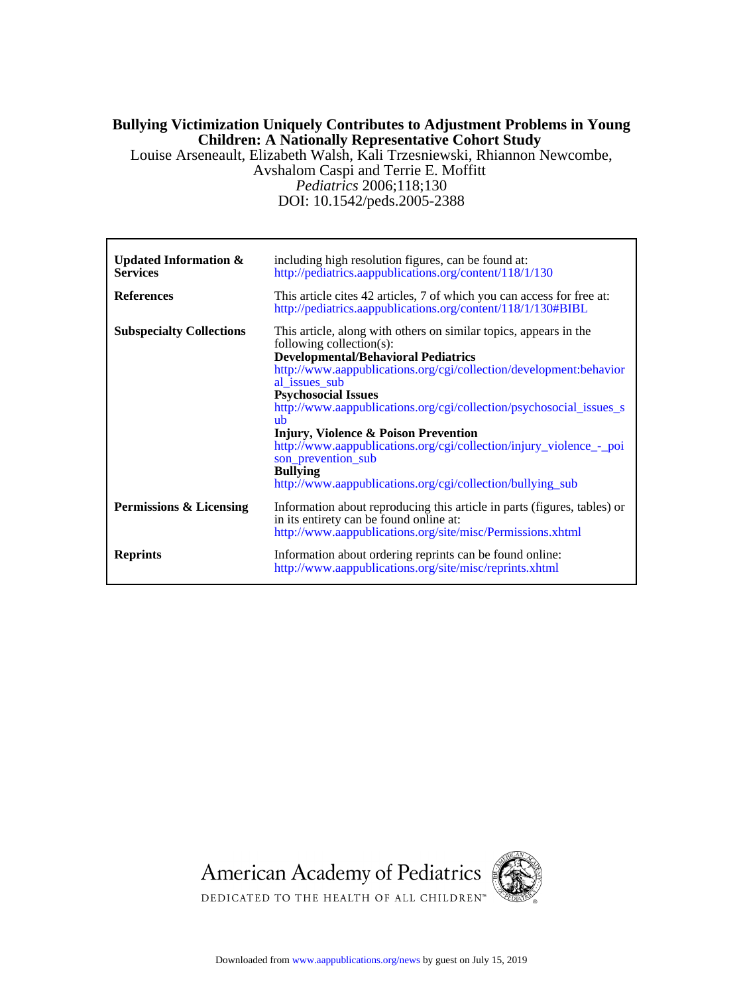# **Children: A Nationally Representative Cohort Study Bullying Victimization Uniquely Contributes to Adjustment Problems in Young**

*Pediatrics* 2006;118;130 Avshalom Caspi and Terrie E. Moffitt Louise Arseneault, Elizabeth Walsh, Kali Trzesniewski, Rhiannon Newcombe,

DOI: 10.1542/peds.2005-2388

| <b>Updated Information &amp;</b><br><b>Services</b> | including high resolution figures, can be found at:<br>http://pediatrics.aappublications.org/content/118/1/130                                                                                                                                                                                                                                                                                                                                                                                                                                                                 |
|-----------------------------------------------------|--------------------------------------------------------------------------------------------------------------------------------------------------------------------------------------------------------------------------------------------------------------------------------------------------------------------------------------------------------------------------------------------------------------------------------------------------------------------------------------------------------------------------------------------------------------------------------|
| <b>References</b>                                   | This article cites 42 articles, 7 of which you can access for free at:<br>http://pediatrics.aappublications.org/content/118/1/130#BIBL                                                                                                                                                                                                                                                                                                                                                                                                                                         |
| <b>Subspecialty Collections</b>                     | This article, along with others on similar topics, appears in the<br>following collection(s):<br><b>Developmental/Behavioral Pediatrics</b><br>http://www.aappublications.org/cgi/collection/development:behavior<br>al issues sub<br><b>Psychosocial Issues</b><br>http://www.aappublications.org/cgi/collection/psychosocial_issues_s<br>ub<br><b>Injury, Violence &amp; Poison Prevention</b><br>http://www.aappublications.org/cgi/collection/injury_violence_-_poi<br>son_prevention_sub<br><b>Bullying</b><br>http://www.aappublications.org/cgi/collection/bullying_sub |
| <b>Permissions &amp; Licensing</b>                  | Information about reproducing this article in parts (figures, tables) or<br>in its entirety can be found online at:<br>http://www.aappublications.org/site/misc/Permissions.xhtml                                                                                                                                                                                                                                                                                                                                                                                              |
| <b>Reprints</b>                                     | Information about ordering reprints can be found online:<br>http://www.aappublications.org/site/misc/reprints.xhtml                                                                                                                                                                                                                                                                                                                                                                                                                                                            |